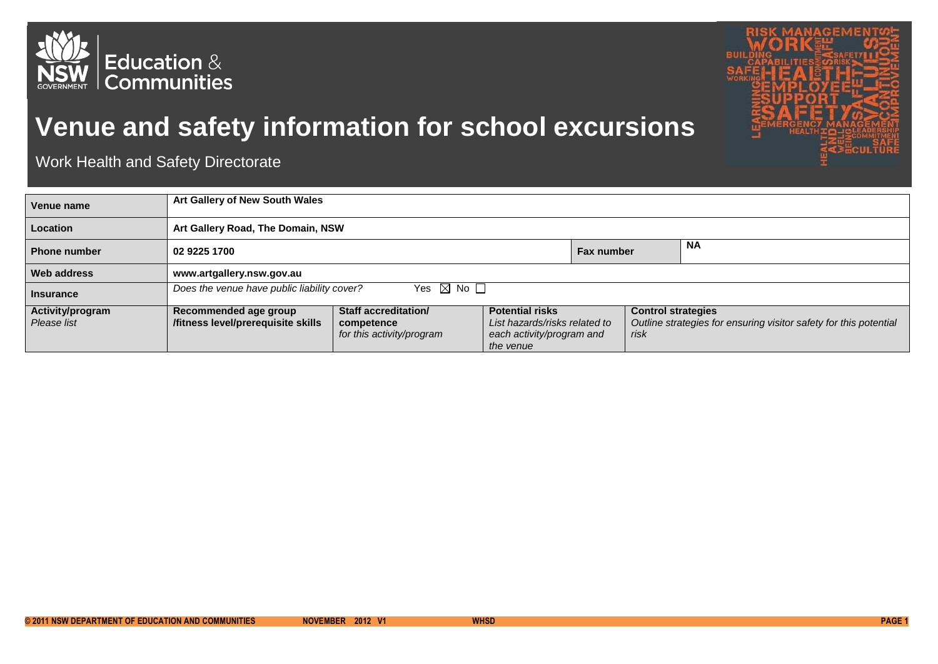



## **Venue and safety information for school excursions**

Work Health and Safety Directorate

| Venue name          | Art Gallery of New South Wales                                              |                                         |                                                                         |                   |                           |                                                                   |
|---------------------|-----------------------------------------------------------------------------|-----------------------------------------|-------------------------------------------------------------------------|-------------------|---------------------------|-------------------------------------------------------------------|
| <b>Location</b>     | Art Gallery Road, The Domain, NSW                                           |                                         |                                                                         |                   |                           |                                                                   |
| <b>Phone number</b> | 02 9225 1700                                                                |                                         |                                                                         | <b>Fax number</b> |                           | <b>NA</b>                                                         |
| Web address         | www.artgallery.nsw.gov.au                                                   |                                         |                                                                         |                   |                           |                                                                   |
| <b>Insurance</b>    | Yes $\boxtimes$ No $\square$<br>Does the venue have public liability cover? |                                         |                                                                         |                   |                           |                                                                   |
| Activity/program    | Recommended age group                                                       | Staff accreditation/                    | <b>Potential risks</b>                                                  |                   | <b>Control strategies</b> |                                                                   |
| Please list         | /fitness level/prerequisite skills                                          | competence<br>for this activity/program | List hazards/risks related to<br>each activity/program and<br>the venue |                   | risk                      | Outline strategies for ensuring visitor safety for this potential |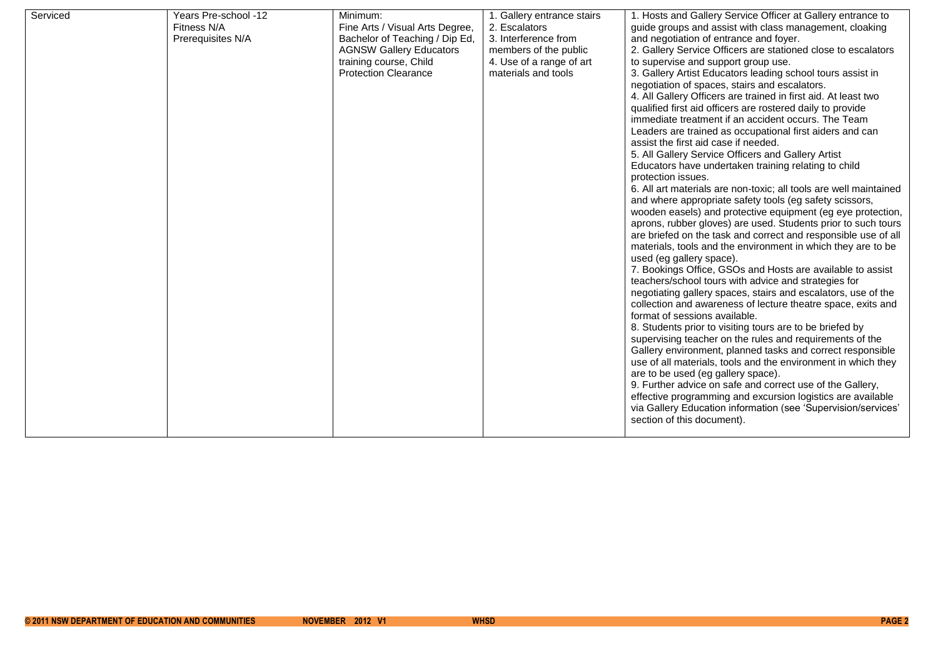| Serviced | Years Pre-school -12<br>Fitness N/A<br>Prerequisites N/A | Minimum:<br>Fine Arts / Visual Arts Degree,<br>Bachelor of Teaching / Dip Ed,<br><b>AGNSW Gallery Educators</b><br>training course, Child<br><b>Protection Clearance</b> | 1. Gallery entrance stairs<br>2. Escalators<br>3. Interference from<br>members of the public<br>4. Use of a range of art<br>materials and tools | 1. Hosts and Gallery Service Officer at Gallery entrance to<br>guide groups and assist with class management, cloaking<br>and negotiation of entrance and foyer.<br>2. Gallery Service Officers are stationed close to escalators<br>to supervise and support group use.<br>3. Gallery Artist Educators leading school tours assist in                                                                                                                                                                                                                                                                                                                                                                                                                                                                                                                                                                                                                                                                                                                                                                                                                                                                                                                                                                                                                                                                                                                                                                                                                                                                                                                                                                                     |
|----------|----------------------------------------------------------|--------------------------------------------------------------------------------------------------------------------------------------------------------------------------|-------------------------------------------------------------------------------------------------------------------------------------------------|----------------------------------------------------------------------------------------------------------------------------------------------------------------------------------------------------------------------------------------------------------------------------------------------------------------------------------------------------------------------------------------------------------------------------------------------------------------------------------------------------------------------------------------------------------------------------------------------------------------------------------------------------------------------------------------------------------------------------------------------------------------------------------------------------------------------------------------------------------------------------------------------------------------------------------------------------------------------------------------------------------------------------------------------------------------------------------------------------------------------------------------------------------------------------------------------------------------------------------------------------------------------------------------------------------------------------------------------------------------------------------------------------------------------------------------------------------------------------------------------------------------------------------------------------------------------------------------------------------------------------------------------------------------------------------------------------------------------------|
|          |                                                          |                                                                                                                                                                          |                                                                                                                                                 | negotiation of spaces, stairs and escalators.<br>4. All Gallery Officers are trained in first aid. At least two<br>qualified first aid officers are rostered daily to provide<br>immediate treatment if an accident occurs. The Team<br>Leaders are trained as occupational first aiders and can<br>assist the first aid case if needed.<br>5. All Gallery Service Officers and Gallery Artist<br>Educators have undertaken training relating to child<br>protection issues.<br>6. All art materials are non-toxic; all tools are well maintained<br>and where appropriate safety tools (eg safety scissors,<br>wooden easels) and protective equipment (eg eye protection,<br>aprons, rubber gloves) are used. Students prior to such tours<br>are briefed on the task and correct and responsible use of all<br>materials, tools and the environment in which they are to be<br>used (eg gallery space).<br>7. Bookings Office, GSOs and Hosts are available to assist<br>teachers/school tours with advice and strategies for<br>negotiating gallery spaces, stairs and escalators, use of the<br>collection and awareness of lecture theatre space, exits and<br>format of sessions available.<br>8. Students prior to visiting tours are to be briefed by<br>supervising teacher on the rules and requirements of the<br>Gallery environment, planned tasks and correct responsible<br>use of all materials, tools and the environment in which they<br>are to be used (eg gallery space).<br>9. Further advice on safe and correct use of the Gallery,<br>effective programming and excursion logistics are available<br>via Gallery Education information (see 'Supervision/services'<br>section of this document). |
|          |                                                          |                                                                                                                                                                          |                                                                                                                                                 |                                                                                                                                                                                                                                                                                                                                                                                                                                                                                                                                                                                                                                                                                                                                                                                                                                                                                                                                                                                                                                                                                                                                                                                                                                                                                                                                                                                                                                                                                                                                                                                                                                                                                                                            |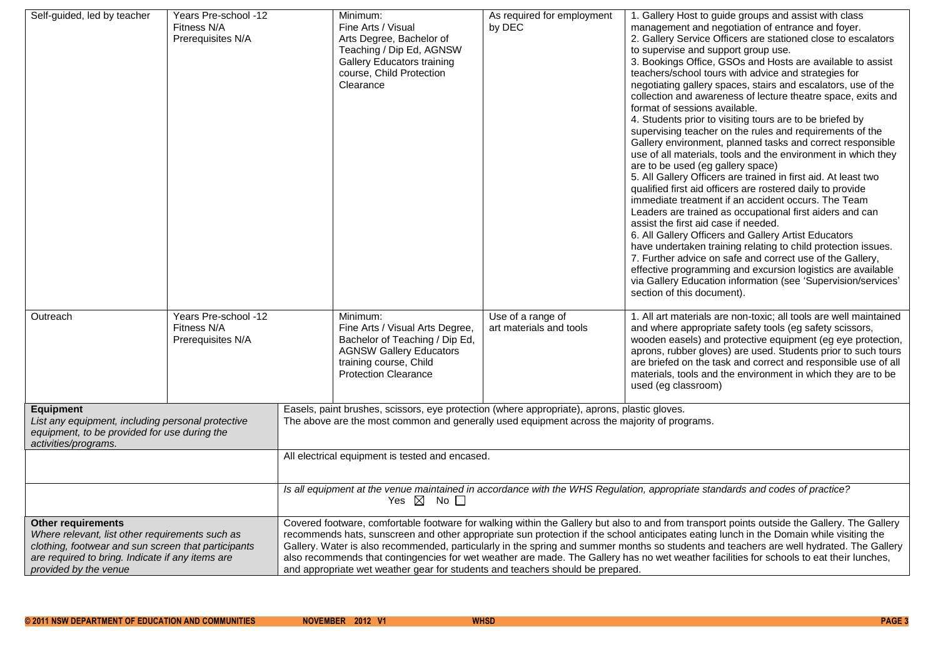| Self-guided, led by teacher                         | Years Pre-school -12 |                                                                                                                                              | Minimum:                                                                                    | As required for employment | 1. Gallery Host to guide groups and assist with class             |  |
|-----------------------------------------------------|----------------------|----------------------------------------------------------------------------------------------------------------------------------------------|---------------------------------------------------------------------------------------------|----------------------------|-------------------------------------------------------------------|--|
|                                                     | Fitness N/A          |                                                                                                                                              | Fine Arts / Visual                                                                          | by DEC                     | management and negotiation of entrance and foyer.                 |  |
|                                                     | Prerequisites N/A    |                                                                                                                                              | Arts Degree, Bachelor of                                                                    |                            | 2. Gallery Service Officers are stationed close to escalators     |  |
|                                                     |                      |                                                                                                                                              | Teaching / Dip Ed, AGNSW                                                                    |                            | to supervise and support group use.                               |  |
|                                                     |                      |                                                                                                                                              | <b>Gallery Educators training</b>                                                           |                            | 3. Bookings Office, GSOs and Hosts are available to assist        |  |
|                                                     |                      |                                                                                                                                              | course, Child Protection                                                                    |                            | teachers/school tours with advice and strategies for              |  |
|                                                     |                      |                                                                                                                                              | Clearance                                                                                   |                            | negotiating gallery spaces, stairs and escalators, use of the     |  |
|                                                     |                      |                                                                                                                                              |                                                                                             |                            | collection and awareness of lecture theatre space, exits and      |  |
|                                                     |                      |                                                                                                                                              |                                                                                             |                            | format of sessions available.                                     |  |
|                                                     |                      |                                                                                                                                              |                                                                                             |                            | 4. Students prior to visiting tours are to be briefed by          |  |
|                                                     |                      |                                                                                                                                              |                                                                                             |                            | supervising teacher on the rules and requirements of the          |  |
|                                                     |                      |                                                                                                                                              |                                                                                             |                            | Gallery environment, planned tasks and correct responsible        |  |
|                                                     |                      |                                                                                                                                              |                                                                                             |                            | use of all materials, tools and the environment in which they     |  |
|                                                     |                      |                                                                                                                                              |                                                                                             |                            | are to be used (eg gallery space)                                 |  |
|                                                     |                      |                                                                                                                                              |                                                                                             |                            | 5. All Gallery Officers are trained in first aid. At least two    |  |
|                                                     |                      |                                                                                                                                              |                                                                                             |                            | qualified first aid officers are rostered daily to provide        |  |
|                                                     |                      |                                                                                                                                              |                                                                                             |                            | immediate treatment if an accident occurs. The Team               |  |
|                                                     |                      |                                                                                                                                              |                                                                                             |                            | Leaders are trained as occupational first aiders and can          |  |
|                                                     |                      |                                                                                                                                              |                                                                                             |                            | assist the first aid case if needed.                              |  |
|                                                     |                      |                                                                                                                                              |                                                                                             |                            | 6. All Gallery Officers and Gallery Artist Educators              |  |
|                                                     |                      |                                                                                                                                              |                                                                                             |                            | have undertaken training relating to child protection issues.     |  |
|                                                     |                      |                                                                                                                                              |                                                                                             |                            | 7. Further advice on safe and correct use of the Gallery,         |  |
|                                                     |                      |                                                                                                                                              |                                                                                             |                            | effective programming and excursion logistics are available       |  |
|                                                     |                      |                                                                                                                                              |                                                                                             |                            | via Gallery Education information (see 'Supervision/services'     |  |
|                                                     |                      |                                                                                                                                              |                                                                                             |                            | section of this document).                                        |  |
|                                                     |                      |                                                                                                                                              |                                                                                             |                            |                                                                   |  |
| Outreach                                            | Years Pre-school -12 |                                                                                                                                              | Minimum:                                                                                    | Use of a range of          | 1. All art materials are non-toxic; all tools are well maintained |  |
|                                                     | Fitness N/A          |                                                                                                                                              | Fine Arts / Visual Arts Degree,                                                             | art materials and tools    | and where appropriate safety tools (eg safety scissors,           |  |
|                                                     | Prerequisites N/A    |                                                                                                                                              | Bachelor of Teaching / Dip Ed,                                                              |                            | wooden easels) and protective equipment (eg eye protection,       |  |
|                                                     |                      |                                                                                                                                              | <b>AGNSW Gallery Educators</b>                                                              |                            | aprons, rubber gloves) are used. Students prior to such tours     |  |
|                                                     |                      |                                                                                                                                              | training course, Child                                                                      |                            | are briefed on the task and correct and responsible use of all    |  |
|                                                     |                      |                                                                                                                                              | <b>Protection Clearance</b>                                                                 |                            | materials, tools and the environment in which they are to be      |  |
|                                                     |                      |                                                                                                                                              |                                                                                             |                            | used (eg classroom)                                               |  |
|                                                     |                      |                                                                                                                                              |                                                                                             |                            |                                                                   |  |
| <b>Equipment</b>                                    |                      | Easels, paint brushes, scissors, eye protection (where appropriate), aprons, plastic gloves.                                                 |                                                                                             |                            |                                                                   |  |
| List any equipment, including personal protective   |                      |                                                                                                                                              | The above are the most common and generally used equipment across the majority of programs. |                            |                                                                   |  |
| equipment, to be provided for use during the        |                      |                                                                                                                                              |                                                                                             |                            |                                                                   |  |
| activities/programs.                                |                      |                                                                                                                                              |                                                                                             |                            |                                                                   |  |
|                                                     |                      | All electrical equipment is tested and encased.                                                                                              |                                                                                             |                            |                                                                   |  |
|                                                     |                      |                                                                                                                                              |                                                                                             |                            |                                                                   |  |
|                                                     |                      | Is all equipment at the venue maintained in accordance with the WHS Regulation, appropriate standards and codes of practice?                 |                                                                                             |                            |                                                                   |  |
|                                                     |                      | Yes $\boxtimes$ No $\square$                                                                                                                 |                                                                                             |                            |                                                                   |  |
| Other requirements                                  |                      | Covered footware, comfortable footware for walking within the Gallery but also to and from transport points outside the Gallery. The Gallery |                                                                                             |                            |                                                                   |  |
| Where relevant, list other requirements such as     |                      | recommends hats, sunscreen and other appropriate sun protection if the school anticipates eating lunch in the Domain while visiting the      |                                                                                             |                            |                                                                   |  |
| clothing, footwear and sun screen that participants |                      | Gallery. Water is also recommended, particularly in the spring and summer months so students and teachers are well hydrated. The Gallery     |                                                                                             |                            |                                                                   |  |
| are required to bring. Indicate if any items are    |                      | also recommends that contingencies for wet weather are made. The Gallery has no wet weather facilities for schools to eat their lunches,     |                                                                                             |                            |                                                                   |  |
| provided by the venue                               |                      | and appropriate wet weather gear for students and teachers should be prepared.                                                               |                                                                                             |                            |                                                                   |  |
|                                                     |                      |                                                                                                                                              |                                                                                             |                            |                                                                   |  |